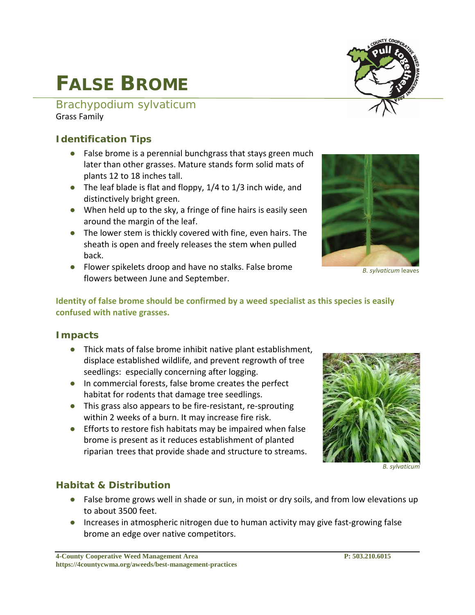#### **4-County Cooperative Weed Management Area P: 503.210.6015 [https://4countycwma.org/aweeds/best-management-practices](https://4countycwma.org/aweeds/best-management-practices/)**

# **FALSE BROME**

#### *Brachypodium sylvaticum* Grass Family

#### **Identification Tips**

- False brome is a perennial bunchgrass that stays green much later than other grasses. Mature stands form solid mats of plants 12 to 18 inches tall.
- The leaf blade is flat and floppy, 1/4 to 1/3 inch wide, and distinctively bright green.
- When held up to the sky, a fringe of fine hairs is easily seen around the margin of the leaf.
- The lower stem is thickly covered with fine, even hairs. The sheath is open and freely releases the stem when pulled back.
- Flower spikelets droop and have no stalks. False brome flowers between June and September.

**Identity of false brome should be confirmed by a weed specialist as this species is easily confused with native grasses.**

#### **Impacts**

- Thick mats of false brome inhibit native plant establishment, displace established wildlife, and prevent regrowth of tree seedlings: especially concerning after logging.
- In commercial forests, false brome creates the perfect habitat for rodents that damage tree seedlings.
- This grass also appears to be fire-resistant, re-sprouting within 2 weeks of a burn. It may increase fire risk.
- Efforts to restore fish habitats may be impaired when false brome is present as it reduces establishment of planted riparian trees that provide shade and structure to streams.

#### **Habitat & Distribution**

- False brome grows well in shade or sun, in moist or dry soils, and from low elevations up to about 3500 feet.
- Increases in atmospheric nitrogen due to human activity may give fast-growing false brome an edge over native competitors.









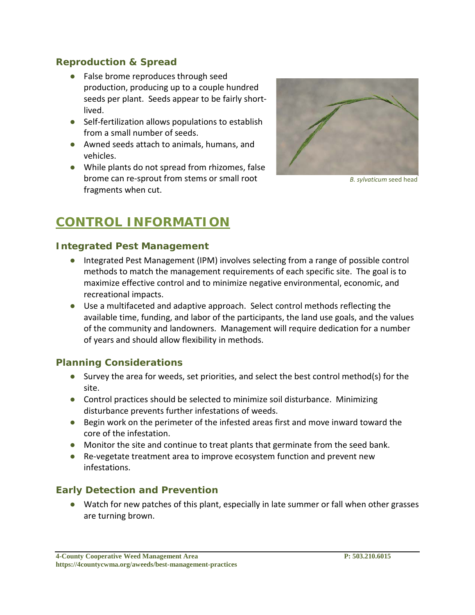#### **Reproduction & Spread**

- False brome reproduces through seed production, producing up to a couple hundred seeds per plant. Seeds appear to be fairly shortlived.
- Self-fertilization allows populations to establish from a small number of seeds.
- Awned seeds attach to animals, humans, and vehicles.
- While plants do not spread from rhizomes, false brome can re-sprout from stems or small root fragments when cut.



*B. sylvaticum* seed head

## **CONTROL INFORMATION**

#### **Integrated Pest Management**

- Integrated Pest Management (IPM) involves selecting from a range of possible control methods to match the management requirements of each specific site. The goal is to maximize effective control and to minimize negative environmental, economic, and recreational impacts.
- Use a multifaceted and adaptive approach. Select control methods reflecting the available time, funding, and labor of the participants, the land use goals, and the values of the community and landowners. Management will require dedication for a number of years and should allow flexibility in methods.

#### **Planning Considerations**

- Survey the area for weeds, set priorities, and select the best control method(s) for the site.
- Control practices should be selected to minimize soil disturbance. Minimizing disturbance prevents further infestations of weeds.
- Begin work on the perimeter of the infested areas first and move inward toward the core of the infestation.
- Monitor the site and continue to treat plants that germinate from the seed bank.
- Re-vegetate treatment area to improve ecosystem function and prevent new infestations.

#### **Early Detection and Prevention**

● Watch for new patches of this plant, especially in late summer or fall when other grasses are turning brown.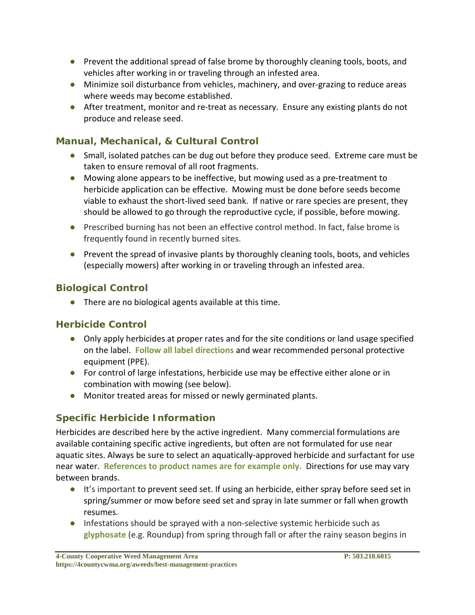- Prevent the additional spread of false brome by thoroughly cleaning tools, boots, and vehicles after working in or traveling through an infested area.
- Minimize soil disturbance from vehicles, machinery, and over-grazing to reduce areas where weeds may become established.
- After treatment, monitor and re-treat as necessary. Ensure any existing plants do not produce and release seed.

#### **Manual, Mechanical, & Cultural Control**

- Small, isolated patches can be dug out before they produce seed. Extreme care must be taken to ensure removal of all root fragments.
- Mowing alone appears to be ineffective, but mowing used as a pre-treatment to herbicide application can be effective. Mowing must be done before seeds become viable to exhaust the short-lived seed bank. If native or rare species are present, they should be allowed to go through the reproductive cycle, if possible, before mowing.
- Prescribed burning has not been an effective control method. In fact, false brome is frequently found in recently burned sites.
- Prevent the spread of invasive plants by thoroughly cleaning tools, boots, and vehicles (especially mowers) after working in or traveling through an infested area.

#### **Biological Control**

● There are no biological agents available at this time.

#### **Herbicide Control**

- Only apply herbicides at proper rates and for the site conditions or land usage specified on the label. **Follow all label directions** and wear recommended personal protective equipment (PPE).
- For control of large infestations, herbicide use may be effective either alone or in combination with mowing (see below).
- Monitor treated areas for missed or newly germinated plants.

### **Specific Herbicide Information**

Herbicides are described here by the active ingredient. Many commercial formulations are available containing specific active ingredients, but often are not formulated for use near aquatic sites. Always be sure to select an aquatically-approved herbicide and surfactant for use near water. **References to product names are for example only.** Directions for use may vary between brands.

- It's important to prevent seed set. If using an herbicide, either spray before seed set in spring/summer or mow before seed set and spray in late summer or fall when growth resumes.
- Infestations should be sprayed with a non-selective systemic herbicide such as **glyphosate** (e.g. Roundup) from spring through fall or after the rainy season begins in